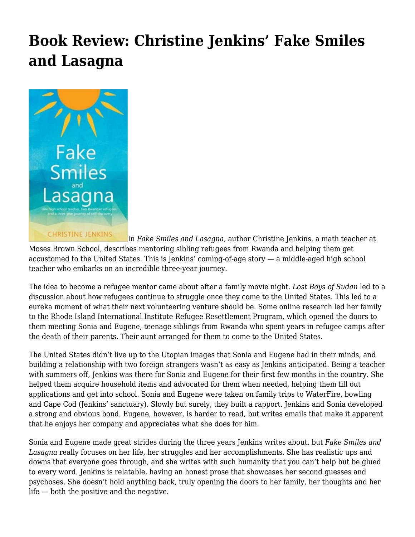## **[Book Review: Christine Jenkins' Fake Smiles](https://motifri.com/fakesmilesandlasagna/) [and Lasagna](https://motifri.com/fakesmilesandlasagna/)**



In *Fake Smiles and Lasagna*, author Christine Jenkins, a math teacher at Moses Brown School, describes mentoring sibling refugees from Rwanda and helping them get accustomed to the United States. This is Jenkins' coming-of-age story — a middle-aged high school teacher who embarks on an incredible three-year journey.

The idea to become a refugee mentor came about after a family movie night. *Lost Boys of Sudan* led to a discussion about how refugees continue to struggle once they come to the United States. This led to a eureka moment of what their next volunteering venture should be. Some online research led her family to the Rhode Island International Institute Refugee Resettlement Program, which opened the doors to them meeting Sonia and Eugene, teenage siblings from Rwanda who spent years in refugee camps after the death of their parents. Their aunt arranged for them to come to the United States.

The United States didn't live up to the Utopian images that Sonia and Eugene had in their minds, and building a relationship with two foreign strangers wasn't as easy as Jenkins anticipated. Being a teacher with summers off, Jenkins was there for Sonia and Eugene for their first few months in the country. She helped them acquire household items and advocated for them when needed, helping them fill out applications and get into school. Sonia and Eugene were taken on family trips to WaterFire, bowling and Cape Cod (Jenkins' sanctuary). Slowly but surely, they built a rapport. Jenkins and Sonia developed a strong and obvious bond. Eugene, however, is harder to read, but writes emails that make it apparent that he enjoys her company and appreciates what she does for him.

Sonia and Eugene made great strides during the three years Jenkins writes about, but *Fake Smiles and Lasagna* really focuses on her life, her struggles and her accomplishments. She has realistic ups and downs that everyone goes through, and she writes with such humanity that you can't help but be glued to every word. Jenkins is relatable, having an honest prose that showcases her second guesses and psychoses. She doesn't hold anything back, truly opening the doors to her family, her thoughts and her life — both the positive and the negative.